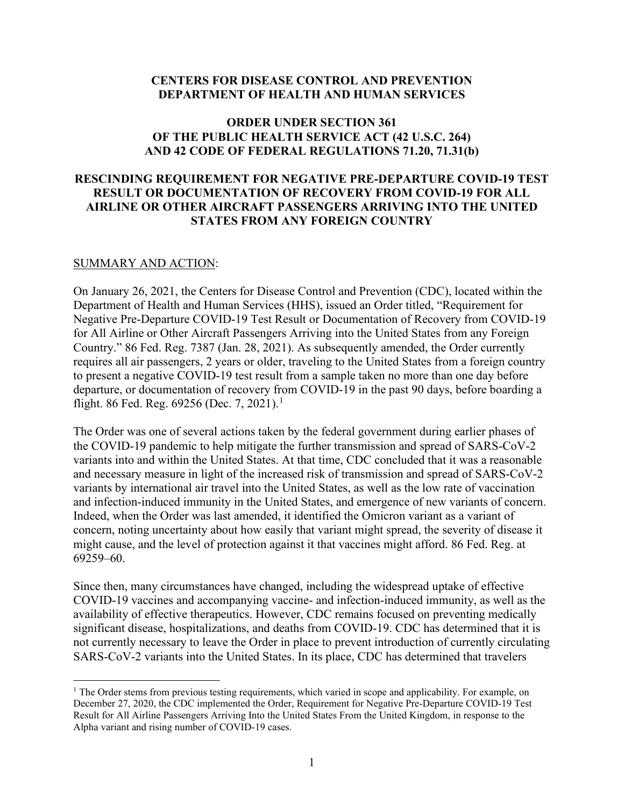### **CENTERS FOR DISEASE CONTROL AND PREVENTION DEPARTMENT OF HEALTH AND HUMAN SERVICES**

## **ORDER UNDER SECTION 361 OF THE PUBLIC HEALTH SERVICE ACT (42 U.S.C. 264) AND 42 CODE OF FEDERAL REGULATIONS 71.20, 71.31(b)**

# **RESCINDING REQUIREMENT FOR NEGATIVE PRE-DEPARTURE COVID-19 TEST RESULT OR DOCUMENTATION OF RECOVERY FROM COVID-19 FOR ALL AIRLINE OR OTHER AIRCRAFT PASSENGERS ARRIVING INTO THE UNITED STATES FROM ANY FOREIGN COUNTRY**

### SUMMARY AND ACTION:

On January 26, 2021, the Centers for Disease Control and Prevention (CDC), located within the Department of Health and Human Services (HHS), issued an Order titled, "Requirement for Negative Pre-Departure COVID-19 Test Result or Documentation of Recovery from COVID-19 for All Airline or Other Aircraft Passengers Arriving into the United States from any Foreign Country." 86 Fed. Reg. 7387 (Jan. 28, 2021). As subsequently amended, the Order currently requires all air passengers, 2 years or older, traveling to the United States from a foreign country to present a negative COVID-19 test result from a sample taken no more than one day before departure, or documentation of recovery from COVID-19 in the past 90 days, before boarding a flight. 86 Fed. Reg. 69256 (Dec. 7, 202[1](#page-0-0)).<sup>1</sup>

The Order was one of several actions taken by the federal government during earlier phases of the COVID-19 pandemic to help mitigate the further transmission and spread of SARS-CoV-2 variants into and within the United States. At that time, CDC concluded that it was a reasonable and necessary measure in light of the increased risk of transmission and spread of SARS-CoV-2 variants by international air travel into the United States, as well as the low rate of vaccination and infection-induced immunity in the United States, and emergence of new variants of concern. Indeed, when the Order was last amended, it identified the Omicron variant as a variant of concern, noting uncertainty about how easily that variant might spread, the severity of disease it might cause, and the level of protection against it that vaccines might afford. 86 Fed. Reg. at 69259–60.

Since then, many circumstances have changed, including the widespread uptake of effective COVID-19 vaccines and accompanying vaccine- and infection-induced immunity, as well as the availability of effective therapeutics. However, CDC remains focused on preventing medically significant disease, hospitalizations, and deaths from COVID-19. CDC has determined that it is not currently necessary to leave the Order in place to prevent introduction of currently circulating SARS-CoV-2 variants into the United States. In its place, CDC has determined that travelers

<span id="page-0-0"></span><sup>&</sup>lt;sup>1</sup> The Order stems from previous testing requirements, which varied in scope and applicability. For example, on December 27, 2020, the CDC implemented the Order, Requirement for Negative Pre-Departure COVID-19 Test Result for All Airline Passengers Arriving Into the United States From the United Kingdom, in response to the Alpha variant and rising number of COVID-19 cases.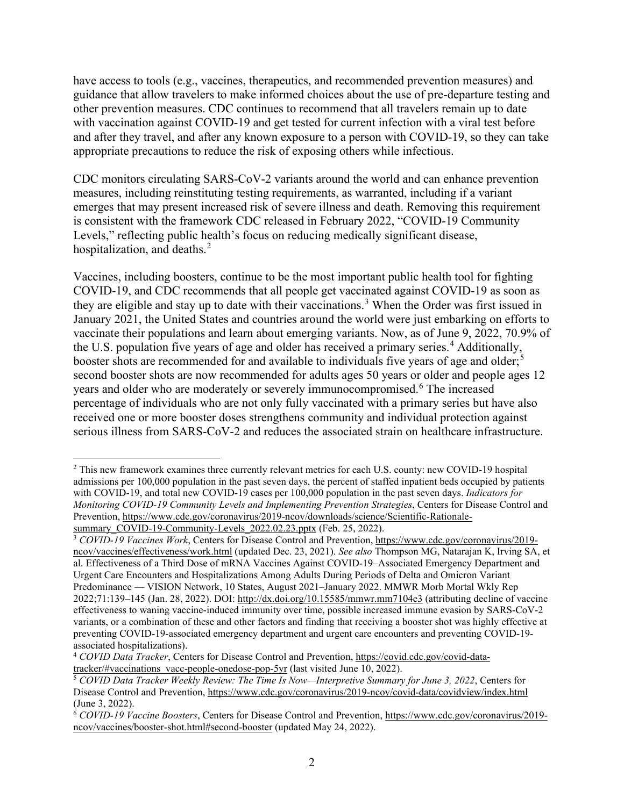have access to tools (e.g., vaccines, therapeutics, and recommended prevention measures) and guidance that allow travelers to make informed choices about the use of pre-departure testing and other prevention measures. CDC continues to recommend that all travelers remain up to date with vaccination against COVID-19 and get tested for current infection with a viral test before and after they travel, and after any known exposure to a person with COVID-19, so they can take appropriate precautions to reduce the risk of exposing others while infectious.

CDC monitors circulating SARS-CoV-2 variants around the world and can enhance prevention measures, including reinstituting testing requirements, as warranted, including if a variant emerges that may present increased risk of severe illness and death. Removing this requirement is consistent with the framework CDC released in February 2022, "COVID-19 Community Levels," reflecting public health's focus on reducing medically significant disease, hospitalization, and deaths. $2$ 

Vaccines, including boosters, continue to be the most important public health tool for fighting COVID-19, and CDC recommends that all people get vaccinated against COVID-19 as soon as they are eligible and stay up to date with their vaccinations.<sup>[3](#page-1-1)</sup> When the Order was first issued in January 2021, the United States and countries around the world were just embarking on efforts to vaccinate their populations and learn about emerging variants. Now, as of June 9, 2022, 70.9% of the U.S. population five years of age and older has received a primary series.<sup>[4](#page-1-2)</sup> Additionally, booster shots are recommended for and available to individuals five years of age and older;<sup>[5](#page-1-3)</sup> second booster shots are now recommended for adults ages 50 years or older and people ages 12 years and older who are moderately or severely immunocompromised.<sup>[6](#page-1-4)</sup> The increased percentage of individuals who are not only fully vaccinated with a primary series but have also received one or more booster doses strengthens community and individual protection against serious illness from SARS-CoV-2 and reduces the associated strain on healthcare infrastructure.

<span id="page-1-0"></span><sup>&</sup>lt;sup>2</sup> This new framework examines three currently relevant metrics for each U.S. county: new COVID-19 hospital admissions per 100,000 population in the past seven days, the percent of staffed inpatient beds occupied by patients with COVID-19, and total new COVID-19 cases per 100,000 population in the past seven days. *Indicators for Monitoring COVID-19 Community Levels and Implementing Prevention Strategies*, Centers for Disease Control and Prevention, [https://www.cdc.gov/coronavirus/2019-ncov/downloads/science/Scientific-Rationale](https://www.cdc.gov/coronavirus/2019-ncov/downloads/science/Scientific-Rationale-summary_COVID-19-Community-Levels_2022.02.23.pptx)[summary\\_COVID-19-Community-Levels\\_2022.02.23.pptx](https://www.cdc.gov/coronavirus/2019-ncov/downloads/science/Scientific-Rationale-summary_COVID-19-Community-Levels_2022.02.23.pptx) (Feb. 25, 2022).

<span id="page-1-1"></span><sup>3</sup> *COVID-19 Vaccines Work*, Centers for Disease Control and Prevention, [https://www.cdc.gov/coronavirus/2019](https://www.cdc.gov/coronavirus/2019-ncov/vaccines/effectiveness/work.html) [ncov/vaccines/effectiveness/work.html](https://www.cdc.gov/coronavirus/2019-ncov/vaccines/effectiveness/work.html) (updated Dec. 23, 2021). *See also* Thompson MG, Natarajan K, Irving SA, et al. Effectiveness of a Third Dose of mRNA Vaccines Against COVID-19–Associated Emergency Department and Urgent Care Encounters and Hospitalizations Among Adults During Periods of Delta and Omicron Variant Predominance — VISION Network, 10 States, August 2021–January 2022. MMWR Morb Mortal Wkly Rep 2022;71:139–145 (Jan. 28, 2022). DOI: <http://dx.doi.org/10.15585/mmwr.mm7104e3>(attributing decline of vaccine effectiveness to waning vaccine-induced immunity over time, possible increased immune evasion by SARS-CoV-2 variants, or a combination of these and other factors and finding that receiving a booster shot was highly effective at preventing COVID-19-associated emergency department and urgent care encounters and preventing COVID-19 associated hospitalizations).

<span id="page-1-2"></span><sup>4</sup> *COVID Data Tracker*, Centers for Disease Control and Prevention, [https://covid.cdc.gov/covid-data-](https://covid.cdc.gov/covid-data-tracker/#vaccinations_vacc-people-onedose-pop-5yr) $\frac{\text{tracker}{\text{#vacinations\_vacc-people-onedose-pop-5yr}}{\text{#CovID Data Tracker Weekly Review: The Time Is Now—Interpretive Summary for June 3, 2022, Centers for$ 

<span id="page-1-3"></span>Disease Control and Prevention, <https://www.cdc.gov/coronavirus/2019-ncov/covid-data/covidview/index.html> (June 3, 2022). 6 *COVID-19 Vaccine Boosters*, Centers for Disease Control and Prevention, [https://www.cdc.gov/coronavirus/2019-](https://www.cdc.gov/coronavirus/2019-ncov/vaccines/booster-shot.html#second-booster)

<span id="page-1-4"></span>[ncov/vaccines/booster-shot.html#second-booster](https://www.cdc.gov/coronavirus/2019-ncov/vaccines/booster-shot.html#second-booster) (updated May 24, 2022).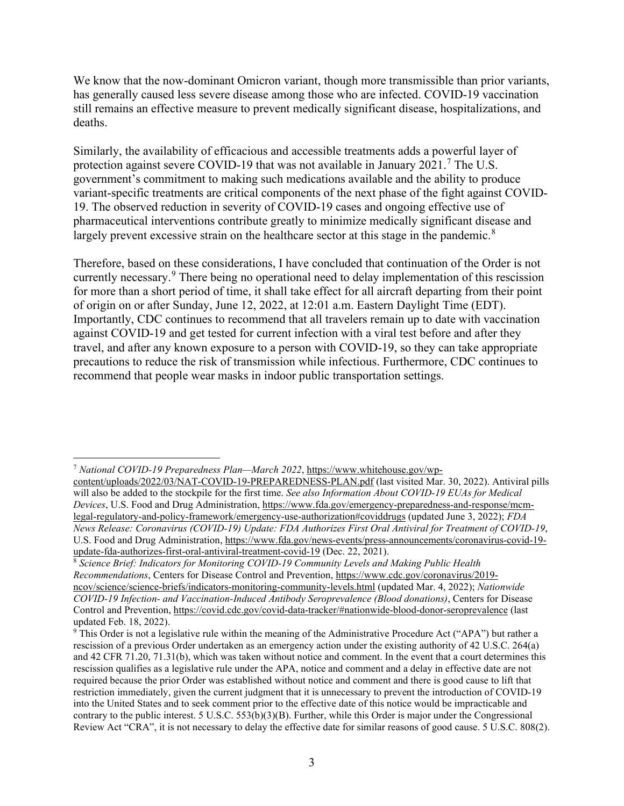We know that the now-dominant Omicron variant, though more transmissible than prior variants, has generally caused less severe disease among those who are infected. COVID-19 vaccination still remains an effective measure to prevent medically significant disease, hospitalizations, and deaths.

Similarly, the availability of efficacious and accessible treatments adds a powerful layer of protection against severe COVID-19 that was not available in January 2021.<sup>[7](#page-2-0)</sup> The U.S. government's commitment to making such medications available and the ability to produce variant-specific treatments are critical components of the next phase of the fight against COVID-19. The observed reduction in severity of COVID-19 cases and ongoing effective use of pharmaceutical interventions contribute greatly to minimize medically significant disease and largely prevent excessive strain on the healthcare sector at this stage in the pandemic.<sup>[8](#page-2-1)</sup>

Therefore, based on these considerations, I have concluded that continuation of the Order is not currently necessary.[9](#page-2-2) There being no operational need to delay implementation of this rescission for more than a short period of time, it shall take effect for all aircraft departing from their point of origin on or after Sunday, June 12, 2022, at 12:01 a.m. Eastern Daylight Time (EDT). Importantly, CDC continues to recommend that all travelers remain up to date with vaccination against COVID-19 and get tested for current infection with a viral test before and after they travel, and after any known exposure to a person with COVID-19, so they can take appropriate precautions to reduce the risk of transmission while infectious. Furthermore, CDC continues to recommend that people wear masks in indoor public transportation settings.

<span id="page-2-0"></span><sup>7</sup> *National COVID-19 Preparedness Plan—March 2022*, [https://www.whitehouse.gov/wp-](https://www.whitehouse.gov/wp-content/uploads/2022/03/NAT-COVID-19-PREPAREDNESS-PLAN.pdf)

[content/uploads/2022/03/NAT-COVID-19-PREPAREDNESS-PLAN.pdf](https://www.whitehouse.gov/wp-content/uploads/2022/03/NAT-COVID-19-PREPAREDNESS-PLAN.pdf) (last visited Mar. 30, 2022). Antiviral pills will also be added to the stockpile for the first time. *See also Information About COVID-19 EUAs for Medical Devices*, U.S. Food and Drug Administration, [https://www.fda.gov/emergency-preparedness-and-response/mcm](https://www.fda.gov/emergency-preparedness-and-response/mcm-legal-regulatory-and-policy-framework/emergency-use-authorization#coviddrugs)[legal-regulatory-and-policy-framework/emergency-use-authorization#coviddrugs](https://www.fda.gov/emergency-preparedness-and-response/mcm-legal-regulatory-and-policy-framework/emergency-use-authorization#coviddrugs) (updated June 3, 2022); *FDA News Release: Coronavirus (COVID-19) Update: FDA Authorizes First Oral Antiviral for Treatment of COVID-19*, U.S. Food and Drug Administration, [https://www.fda.gov/news-events/press-announcements/coronavirus-covid-19](https://www.fda.gov/news-events/press-announcements/coronavirus-covid-19-update-fda-authorizes-first-oral-antiviral-treatment-covid-19) [update-fda-authorizes-first-oral-antiviral-treatment-covid-19](https://www.fda.gov/news-events/press-announcements/coronavirus-covid-19-update-fda-authorizes-first-oral-antiviral-treatment-covid-19) (Dec. 22, 2021).

<span id="page-2-1"></span><sup>8</sup> *Science Brief: Indicators for Monitoring COVID-19 Community Levels and Making Public Health Recommendations*, Centers for Disease Control and Prevention, [https://www.cdc.gov/coronavirus/2019](https://www.cdc.gov/coronavirus/2019-ncov/science/science-briefs/indicators-monitoring-community-levels.html) [ncov/science/science-briefs/indicators-monitoring-community-levels.html](https://www.cdc.gov/coronavirus/2019-ncov/science/science-briefs/indicators-monitoring-community-levels.html) (updated Mar. 4, 2022); *Nationwide COVID-19 Infection- and Vaccination-Induced Antibody Seroprevalence (Blood donations)*, Centers for Disease Control and Prevention, <https://covid.cdc.gov/covid-data-tracker/#nationwide-blood-donor-seroprevalence> (last updated Feb. 18, 2022).

<span id="page-2-2"></span><sup>&</sup>lt;sup>9</sup> This Order is not a legislative rule within the meaning of the Administrative Procedure Act ("APA") but rather a rescission of a previous Order undertaken as an emergency action under the existing authority of 42 U.S.C. 264(a) and 42 CFR 71.20, 71.31(b), which was taken without notice and comment. In the event that a court determines this rescission qualifies as a legislative rule under the APA, notice and comment and a delay in effective date are not required because the prior Order was established without notice and comment and there is good cause to lift that restriction immediately, given the current judgment that it is unnecessary to prevent the introduction of COVID-19 into the United States and to seek comment prior to the effective date of this notice would be impracticable and contrary to the public interest. 5 U.S.C. 553(b)(3)(B). Further, while this Order is major under the Congressional Review Act "CRA", it is not necessary to delay the effective date for similar reasons of good cause. 5 U.S.C. 808(2).